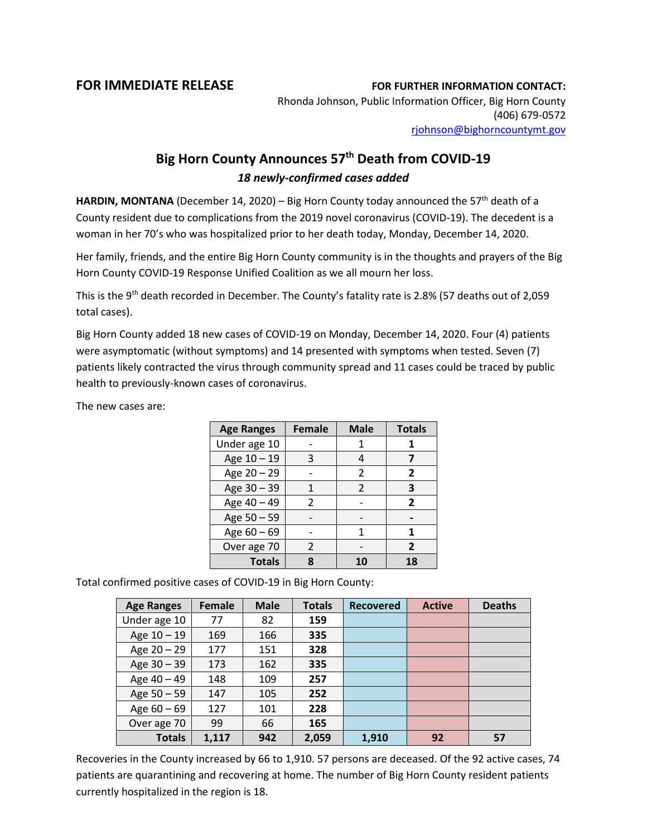## **FOR IMMEDIATE RELEASE FOR FURTHER INFORMATION CONTACT:**

Rhonda Johnson, Public Information Officer, Big Horn County (406) 679-0572 [rjohnson@bighorncountymt.gov](mailto:rjohnson@bighorncountymt.gov)

## **Big Horn County Announces 57th Death from COVID-19** *18 newly-confirmed cases added*

**HARDIN, MONTANA** (December 14, 2020) – Big Horn County today announced the 57<sup>th</sup> death of a County resident due to complications from the 2019 novel coronavirus (COVID-19). The decedent is a woman in her 70's who was hospitalized prior to her death today, Monday, December 14, 2020.

Her family, friends, and the entire Big Horn County community is in the thoughts and prayers of the Big Horn County COVID-19 Response Unified Coalition as we all mourn her loss.

This is the 9<sup>th</sup> death recorded in December. The County's fatality rate is 2.8% (57 deaths out of 2,059 total cases).

Big Horn County added 18 new cases of COVID-19 on Monday, December 14, 2020. Four (4) patients were asymptomatic (without symptoms) and 14 presented with symptoms when tested. Seven (7) patients likely contracted the virus through community spread and 11 cases could be traced by public health to previously-known cases of coronavirus.

The new cases are:

| <b>Age Ranges</b> | <b>Female</b> | <b>Male</b> | <b>Totals</b> |
|-------------------|---------------|-------------|---------------|
| Under age 10      |               |             |               |
| Age 10 - 19       | 3             |             |               |
| Age 20 - 29       |               | 2           | 2             |
| Age 30 - 39       |               | 2           | 3             |
| Age 40 - 49       | 2             |             | 2             |
| Age 50 - 59       |               |             |               |
| Age 60 - 69       |               | 1           |               |
| Over age 70       | 2             |             | 2             |
| <b>Totals</b>     |               |             | 18            |

Total confirmed positive cases of COVID-19 in Big Horn County:

| <b>Age Ranges</b> | <b>Female</b> | <b>Male</b> | <b>Totals</b> | <b>Recovered</b> | <b>Active</b> | <b>Deaths</b> |
|-------------------|---------------|-------------|---------------|------------------|---------------|---------------|
| Under age 10      | 77            | 82          | 159           |                  |               |               |
| Age 10 - 19       | 169           | 166         | 335           |                  |               |               |
| Age 20 - 29       | 177           | 151         | 328           |                  |               |               |
| Age 30 - 39       | 173           | 162         | 335           |                  |               |               |
| Age 40 - 49       | 148           | 109         | 257           |                  |               |               |
| Age 50 - 59       | 147           | 105         | 252           |                  |               |               |
| Age $60 - 69$     | 127           | 101         | 228           |                  |               |               |
| Over age 70       | 99            | 66          | 165           |                  |               |               |
| <b>Totals</b>     | 1,117         | 942         | 2,059         | 1,910            | 92            | 57            |

Recoveries in the County increased by 66 to 1,910. 57 persons are deceased. Of the 92 active cases, 74 patients are quarantining and recovering at home. The number of Big Horn County resident patients currently hospitalized in the region is 18.